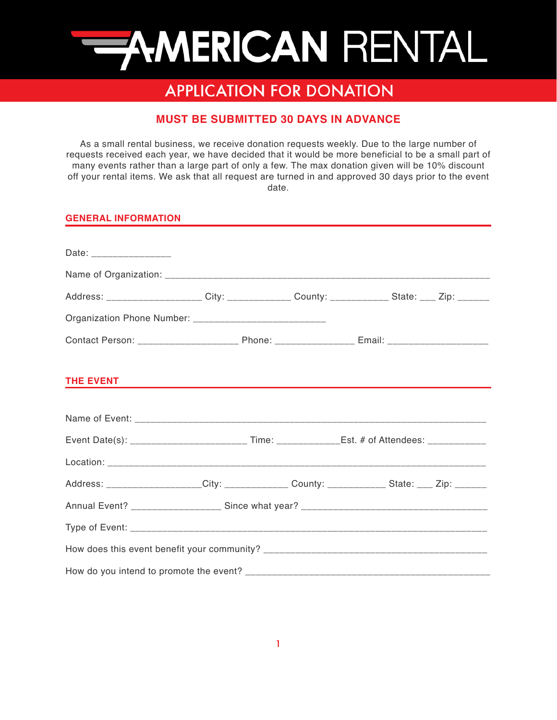

## **APPLICATION FOR DONATION**

## **MUST BE SUBMITTED 30 DAYS IN ADVANCE**

As a small rental business, we receive donation requests weekly. Due to the large number of requests received each year, we have decided that it would be more beneficial to be a small part of many events rather than a large part of only a few. The max donation given will be 10% discount off your rental items. We ask that all request are turned in and approved 30 days prior to the event date.

## **GENERAL INFORMATION**

| Date: _____________________                                                                         |  |  |  |  |  |  |  |
|-----------------------------------------------------------------------------------------------------|--|--|--|--|--|--|--|
|                                                                                                     |  |  |  |  |  |  |  |
| Address: _____________________City: ______________County: ______________State: ____ Zip: ________   |  |  |  |  |  |  |  |
|                                                                                                     |  |  |  |  |  |  |  |
|                                                                                                     |  |  |  |  |  |  |  |
| <b>THE EVENT</b>                                                                                    |  |  |  |  |  |  |  |
|                                                                                                     |  |  |  |  |  |  |  |
| Event Date(s): ____________________________Time: _______________Est. # of Attendees: ______________ |  |  |  |  |  |  |  |
|                                                                                                     |  |  |  |  |  |  |  |
| Address: ___________________City: _______________County: ______________State: ____ Zip: _______     |  |  |  |  |  |  |  |
|                                                                                                     |  |  |  |  |  |  |  |
|                                                                                                     |  |  |  |  |  |  |  |
|                                                                                                     |  |  |  |  |  |  |  |
|                                                                                                     |  |  |  |  |  |  |  |